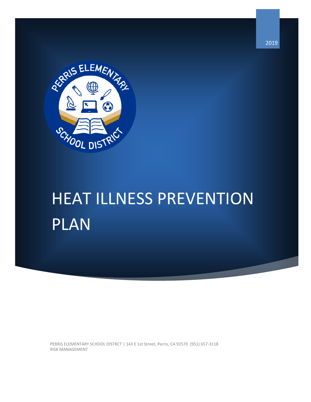

# HEAT ILLNESS PREVENTION PLAN

PERRIS ELEMENTARY SCHOOL DISTRCT | 143 E 1st Street, Perris, CA 92570 (951) 657-3118 RISK MANAGEMENT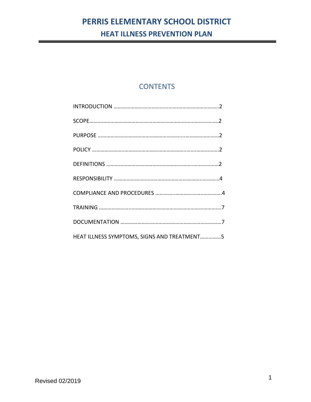# **CONTENTS**

| HEAT ILLNESS SYMPTOMS, SIGNS AND TREATMENT5 |
|---------------------------------------------|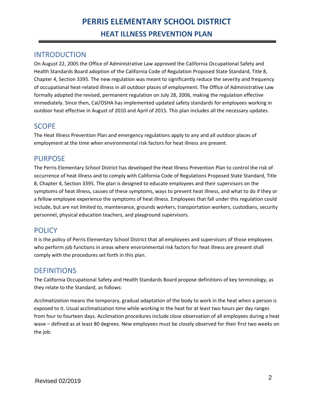# INTRODUCTION

On August 22, 2005 the Office of Administrative Law approved the California Occupational Safety and Health Standards Board adoption of the California Code of Regulation Proposed State Standard, Title 8, Chapter 4, Section 3395. The new regulation was meant to significantly reduce the severity and frequency of occupational heat-related illness in all outdoor places of employment. The Office of Administrative Law formally adopted the revised, permanent regulation on July 28, 2006, making the regulation effective immediately. Since then, Cal/OSHA has implemented updated safety standards for employees working in outdoor heat effective in August of 2010 and April of 2015. This plan includes all the necessary updates.

# **SCOPE**

The Heat Illness Prevention Plan and emergency regulations apply to any and all outdoor places of employment at the time when environmental risk factors for heat illness are present.

# PURPOSE

The Perris Elementary School District has developed the Heat Illness Prevention Plan to control the risk of occurrence of heat illness and to comply with California Code of Regulations Proposed State Standard, Title 8, Chapter 4, Section 3395. The plan is designed to educate employees and their supervisors on the symptoms of heat illness, causes of these symptoms, ways to prevent heat illness, and what to do if they or a fellow employee experience the symptoms of heat illness. Employees that fall under this regulation could include, but are not limited to, maintenance, grounds workers, transportation workers, custodians, security personnel, physical education teachers, and playground supervisors.

# **POLICY**

It is the policy of Perris Elementary School District that all employees and supervisors of those employees who perform job functions in areas where environmental risk factors for heat illness are present shall comply with the procedures set forth in this plan.

# **DEFINITIONS**

The California Occupational Safety and Health Standards Board propose definitions of key terminology, as they relate to the Standard, as follows:

*Acclimatization* means the temporary, gradual adaptation of the body to work in the heat when a person is exposed to it. Usual acclimatization time while working in the heat for at least two hours per day ranges from four to fourteen days. Acclimation procedures include close observation of all employees during a heat wave – defined as at least 80 degrees. New employees must be closely observed for their first two weeks on the job.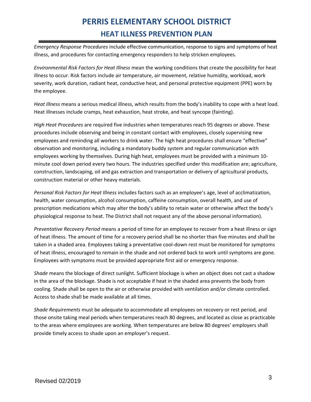*Emergency Response Procedures* include effective communication, response to signs and symptoms of heat illness, and procedures for contacting emergency responders to help stricken employees.

*Environmental Risk Factors for Heat Illness* mean the working conditions that create the possibility for heat illness to occur. Risk factors include air temperature, air movement, relative humidity, workload, work severity, work duration, radiant heat, conductive heat, and personal protective equipment (PPE) worn by the employee.

*Heat Illness* means a serious medical illness, which results from the body's inability to cope with a heat load. Heat illnesses include cramps, heat exhaustion, heat stroke, and heat syncope (fainting).

*High Heat Procedures* are required five industries when temperatures reach 95 degrees or above. These procedures include observing and being in constant contact with employees, closely supervising new employees and reminding all workers to drink water. The high heat procedures shall ensure "effective" observation and monitoring, including a mandatory buddy system and regular communication with employees working by themselves. During high heat, employees must be provided with a minimum 10 minute cool down period every two hours. The industries specified under this modification are; agriculture, construction, landscaping, oil and gas extraction and transportation or delivery of agricultural products, construction material or other heavy materials.

*Personal Risk Factors for Heat Illness* includes factors such as an employee's age, level of acclimatization, health, water consumption, alcohol consumption, caffeine consumption, overall health, and use of prescription medications which may alter the body's ability to retain water or otherwise affect the body's physiological response to heat. The District shall not request any of the above personal information).

*Preventative Recovery Period* means a period of time for an employee to recover from a heat illness or sign of heat illness. The amount of time for a recovery period shall be no shorter than five minutes and shall be taken in a shaded area. Employees taking a preventative cool-down rest must be monitored for symptoms of heat illness, encouraged to remain in the shade and not ordered back to work until symptoms are gone. Employees with symptoms must be provided appropriate first aid or emergency response.

*Shade* means the blockage of direct sunlight. Sufficient blockage is when an object does not cast a shadow in the area of the blockage. Shade is not acceptable if heat in the shaded area prevents the body from cooling. Shade shall be open to the air or otherwise provided with ventilation and/or climate controlled. Access to shade shall be made available at all times.

*Shade Requirements* must be adequate to accommodate all employees on recovery or rest period, and those onsite taking meal periods when temperatures reach 80 degrees, and located as close as practicable to the areas where employees are working. When temperatures are below 80 degrees' employers shall provide timely access to shade upon an employer's request.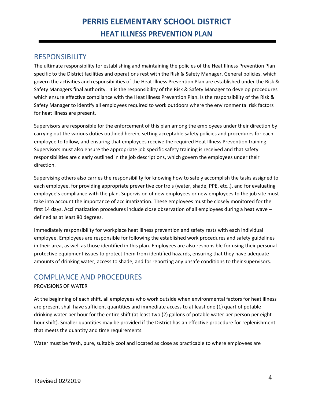# RESPONSIBILITY

The ultimate responsibility for establishing and maintaining the policies of the Heat Illness Prevention Plan specific to the District facilities and operations rest with the Risk & Safety Manager. General policies, which govern the activities and responsibilities of the Heat Illness Prevention Plan are established under the Risk & Safety Managers final authority. It is the responsibility of the Risk & Safety Manager to develop procedures which ensure effective compliance with the Heat Illness Prevention Plan. Is the responsibility of the Risk & Safety Manager to identify all employees required to work outdoors where the environmental risk factors for heat illness are present.

Supervisors are responsible for the enforcement of this plan among the employees under their direction by carrying out the various duties outlined herein, setting acceptable safety policies and procedures for each employee to follow, and ensuring that employees receive the required Heat Illness Prevention training. Supervisors must also ensure the appropriate job specific safety training is received and that safety responsibilities are clearly outlined in the job descriptions, which govern the employees under their direction.

Supervising others also carries the responsibility for knowing how to safely accomplish the tasks assigned to each employee, for providing appropriate preventive controls (water, shade, PPE, etc..), and for evaluating employee's compliance with the plan. Supervision of new employees or new employees to the job site must take into account the importance of acclimatization. These employees must be closely monitored for the first 14 days. Acclimatization procedures include close observation of all employees during a heat wave – defined as at least 80 degrees.

Immediately responsibility for workplace heat illness prevention and safety rests with each individual employee. Employees are responsible for following the established work procedures and safety guidelines in their area, as well as those identified in this plan. Employees are also responsible for using their personal protective equipment issues to protect them from identified hazards, ensuring that they have adequate amounts of drinking water, access to shade, and for reporting any unsafe conditions to their supervisors.

# COMPLIANCE AND PROCEDURES

# PROVISIONS OF WATER

At the beginning of each shift, all employees who work outside when environmental factors for heat illness are present shall have sufficient quantities and immediate access to at least one (1) quart of potable drinking water per hour for the entire shift (at least two (2) gallons of potable water per person per eighthour shift). Smaller quantities may be provided if the District has an effective procedure for replenishment that meets the quantity and time requirements.

Water must be fresh, pure, suitably cool and located as close as practicable to where employees are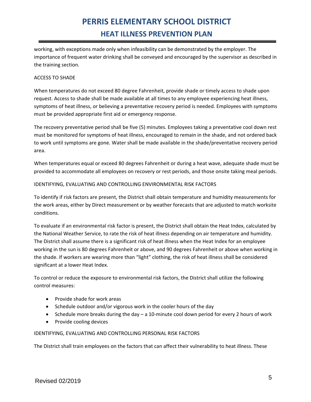working, with exceptions made only when infeasibility can be demonstrated by the employer. The importance of frequent water drinking shall be conveyed and encouraged by the supervisor as described in the training section.

# ACCESS TO SHADE

When temperatures do not exceed 80 degree Fahrenheit, provide shade or timely access to shade upon request. Access to shade shall be made available at all times to any employee experiencing heat illness, symptoms of heat illness, or believing a preventative recovery period is needed. Employees with symptoms must be provided appropriate first aid or emergency response.

The recovery preventative period shall be five (5) minutes. Employees taking a preventative cool down rest must be monitored for symptoms of heat illness, encouraged to remain in the shade, and not ordered back to work until symptoms are gone. Water shall be made available in the shade/preventative recovery period area.

When temperatures equal or exceed 80 degrees Fahrenheit or during a heat wave, adequate shade must be provided to accommodate all employees on recovery or rest periods, and those onsite taking meal periods.

## IDENTIFYING, EVALUATING AND CONTROLLING ENVIRONMENTAL RISK FACTORS

To identify if risk factors are present, the District shall obtain temperature and humidity measurements for the work areas, either by Direct measurement or by weather forecasts that are adjusted to match worksite conditions.

To evaluate if an environmental risk factor is present, the District shall obtain the Heat Index, calculated by the National Weather Service, to rate the risk of heat illness depending on air temperature and humidity. The District shall assume there is a significant risk of heat illness when the Heat Index for an employee working in the sun is 80 degrees Fahrenheit or above, and 90 degrees Fahrenheit or above when working in the shade. If workers are wearing more than "light" clothing, the risk of heat illness shall be considered significant at a lower Heat Index.

To control or reduce the exposure to environmental risk factors, the District shall utilize the following control measures:

- Provide shade for work areas
- Schedule outdoor and/or vigorous work in the cooler hours of the day
- Schedule more breaks during the day a 10-minute cool down period for every 2 hours of work
- Provide cooling devices

### IDENTIFYING, EVALUATING AND CONTROLLING PERSONAL RISK FACTORS

The District shall train employees on the factors that can affect their vulnerability to heat illness. These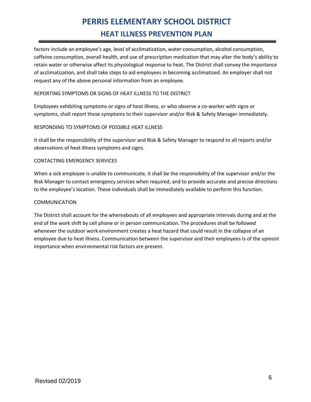factors include an employee's age, level of acclimatization, water consumption, alcohol consumption, caffeine consumption, overall health, and use of prescription medication that may alter the body's ability to retain water or otherwise affect its physiological response to heat. The District shall convey the importance of acclimatization, and shall take steps to aid employees in becoming acclimatized. An employer shall not request any of the above personal information from an employee.

# REPORTING SYMPTOMS OR SIGNS OF HEAT ILLNESS TO THE DISTRICT

Employees exhibiting symptoms or signs of heat illness, or who observe a co-worker with signs or symptoms, shall report these symptoms to their supervisor and/or Risk & Safety Manager immediately.

## RESPONDING TO SYMPTOMS OF POSSIBLE HEAT ILLNESS

It shall be the responsibility of the supervisor and Risk & Safety Manager to respond to all reports and/or observations of heat illness symptoms and signs.

### CONTACTING EMERGENCY SERVICES

When a sick employee is unable to communicate, it shall be the responsibility of the supervisor and/or the Risk Manager to contact emergency services when required, and to provide accurate and precise directions to the employee's location. These individuals shall be immediately available to perform this function.

### COMMUNICATION

The District shall account for the whereabouts of all employees and appropriate intervals during and at the end of the work shift by cell phone or in person communication. The procedures shall be followed whenever the outdoor work environment creates a heat hazard that could result in the collapse of an employee due to heat illness. Communication between the supervisor and their employees Is of the upmost importance when environmental risk factors are present.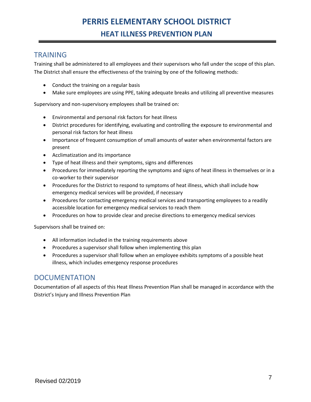# **TRAINING**

Training shall be administered to all employees and their supervisors who fall under the scope of this plan. The District shall ensure the effectiveness of the training by one of the following methods:

- Conduct the training on a regular basis
- Make sure employees are using PPE, taking adequate breaks and utilizing all preventive measures

Supervisory and non-supervisory employees shall be trained on:

- Environmental and personal risk factors for heat illness
- District procedures for identifying, evaluating and controlling the exposure to environmental and personal risk factors for heat illness
- Importance of frequent consumption of small amounts of water when environmental factors are present
- Acclimatization and its importance
- Type of heat illness and their symptoms, signs and differences
- Procedures for immediately reporting the symptoms and signs of heat illness in themselves or in a co-worker to their supervisor
- Procedures for the District to respond to symptoms of heat illness, which shall include how emergency medical services will be provided, if necessary
- Procedures for contacting emergency medical services and transporting employees to a readily accessible location for emergency medical services to reach them
- Procedures on how to provide clear and precise directions to emergency medical services

Supervisors shall be trained on:

- All information included in the training requirements above
- Procedures a supervisor shall follow when implementing this plan
- Procedures a supervisor shall follow when an employee exhibits symptoms of a possible heat illness, which includes emergency response procedures

# DOCUMENTATION

Documentation of all aspects of this Heat Illness Prevention Plan shall be managed in accordance with the District's Injury and Illness Prevention Plan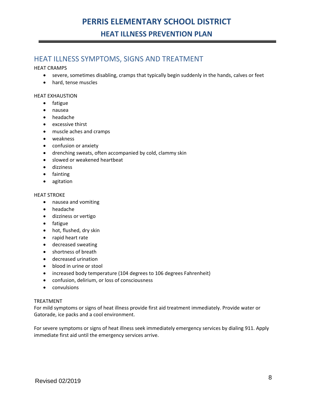# HEAT ILLNESS SYMPTOMS, SIGNS AND TREATMENT

HEAT CRAMPS

- severe, sometimes disabling, cramps that typically begin suddenly in the hands, calves or feet
- hard, tense muscles

### HEAT EXHAUSTION

- fatigue
- nausea
- headache
- excessive thirst
- muscle aches and cramps
- weakness
- confusion or anxiety
- drenching sweats, often accompanied by cold, clammy skin
- slowed or weakened heartbeat
- dizziness
- fainting
- agitation

### HEAT STROKE

- nausea and vomiting
- headache
- dizziness or vertigo
- fatigue
- hot, flushed, dry skin
- rapid heart rate
- decreased sweating
- shortness of breath
- decreased urination
- blood in urine or stool
- increased body temperature (104 degrees to 106 degrees Fahrenheit)
- confusion, delirium, or loss of consciousness
- convulsions

### TREATMENT

For mild symptoms or signs of heat illness provide first aid treatment immediately. Provide water or Gatorade, ice packs and a cool environment.

For severe symptoms or signs of heat illness seek immediately emergency services by dialing 911. Apply immediate first aid until the emergency services arrive.